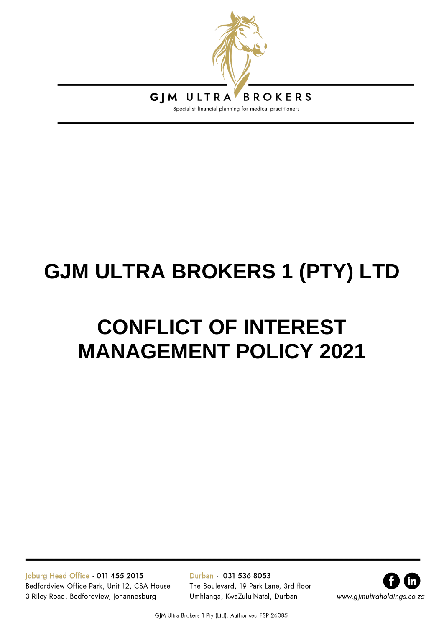

# **GJM ULTRA BROKERS 1 (PTY) LTD**

# **CONFLICT OF INTEREST MANAGEMENT POLICY 2021**

Joburg Head Office . 011 455 2015 Bedfordview Office Park, Unit 12, CSA House 3 Riley Road, Bedfordview, Johannesburg

Durban · 031 536 8053 The Boulevard, 19 Park Lane, 3rd floor Umhlanga, KwaZulu-Natal, Durban



GJM Ultra Brokers 1 Pty (Ltd). Authorised FSP 26085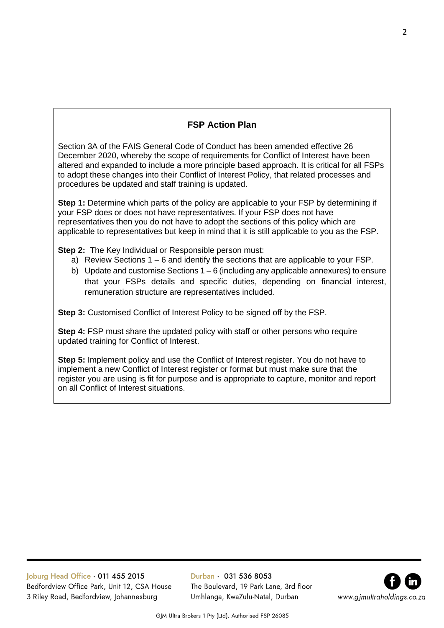# **FSP Action Plan**

Section 3A of the FAIS General Code of Conduct has been amended effective 26 December 2020, whereby the scope of requirements for Conflict of Interest have been altered and expanded to include a more principle based approach. It is critical for all FSPs to adopt these changes into their Conflict of Interest Policy, that related processes and procedures be updated and staff training is updated.

**Step 1:** Determine which parts of the policy are applicable to your FSP by determining if your FSP does or does not have representatives. If your FSP does not have representatives then you do not have to adopt the sections of this policy which are applicable to representatives but keep in mind that it is still applicable to you as the FSP.

**Step 2:** The Key Individual or Responsible person must:

- a) Review Sections 1 6 and identify the sections that are applicable to your FSP.
- b) Update and customise Sections  $1 6$  (including any applicable annexures) to ensure that your FSPs details and specific duties, depending on financial interest, remuneration structure are representatives included.

**Step 3:** Customised Conflict of Interest Policy to be signed off by the FSP.

**Step 4:** FSP must share the updated policy with staff or other persons who require updated training for Conflict of Interest.

**Step 5:** Implement policy and use the Conflict of Interest register. You do not have to implement a new Conflict of Interest register or format but must make sure that the register you are using is fit for purpose and is appropriate to capture, monitor and report on all Conflict of Interest situations.

Joburg Head Office . 011 455 2015 Bedfordview Office Park, Unit 12, CSA House 3 Riley Road, Bedfordview, Johannesburg

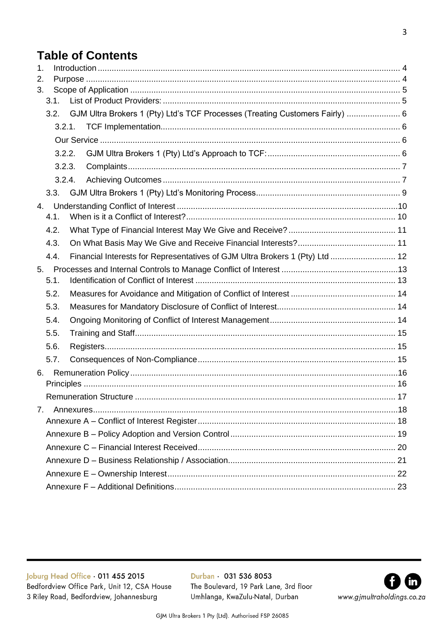# **Table of Contents**

| 1. |      |        |  |                                                                              |  |  |  |
|----|------|--------|--|------------------------------------------------------------------------------|--|--|--|
| 2. |      |        |  |                                                                              |  |  |  |
| 3. |      |        |  |                                                                              |  |  |  |
|    | 3.1. |        |  |                                                                              |  |  |  |
|    | 3.2. |        |  | GJM Ultra Brokers 1 (Pty) Ltd's TCF Processes (Treating Customers Fairly)  6 |  |  |  |
|    |      | 3.2.1. |  |                                                                              |  |  |  |
|    |      |        |  |                                                                              |  |  |  |
|    |      | 3.2.2. |  |                                                                              |  |  |  |
|    |      | 3.2.3. |  |                                                                              |  |  |  |
|    |      | 3.2.4. |  |                                                                              |  |  |  |
|    | 3.3. |        |  |                                                                              |  |  |  |
| 4. |      |        |  |                                                                              |  |  |  |
|    | 4.1. |        |  |                                                                              |  |  |  |
|    | 4.2. |        |  |                                                                              |  |  |  |
|    | 4.3. |        |  |                                                                              |  |  |  |
|    | 4.4. |        |  | Financial Interests for Representatives of GJM Ultra Brokers 1 (Pty) Ltd  12 |  |  |  |
| 5. |      |        |  |                                                                              |  |  |  |
|    | 5.1. |        |  |                                                                              |  |  |  |
|    | 5.2. |        |  |                                                                              |  |  |  |
|    | 5.3. |        |  |                                                                              |  |  |  |
|    | 5.4. |        |  |                                                                              |  |  |  |
|    | 5.5. |        |  |                                                                              |  |  |  |
|    | 5.6. |        |  |                                                                              |  |  |  |
|    | 5.7. |        |  |                                                                              |  |  |  |
| 6. |      |        |  |                                                                              |  |  |  |
|    |      |        |  |                                                                              |  |  |  |
|    |      |        |  | 17                                                                           |  |  |  |
| 7. |      |        |  |                                                                              |  |  |  |
|    |      |        |  |                                                                              |  |  |  |
|    |      |        |  |                                                                              |  |  |  |
|    |      |        |  |                                                                              |  |  |  |
|    |      |        |  |                                                                              |  |  |  |
|    |      |        |  |                                                                              |  |  |  |
|    |      |        |  |                                                                              |  |  |  |
|    |      |        |  |                                                                              |  |  |  |

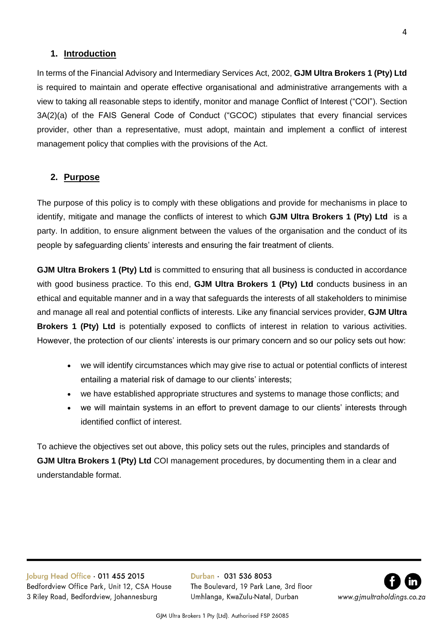## <span id="page-3-0"></span>**1. Introduction**

In terms of the Financial Advisory and Intermediary Services Act, 2002, **GJM Ultra Brokers 1 (Pty) Ltd** is required to maintain and operate effective organisational and administrative arrangements with a view to taking all reasonable steps to identify, monitor and manage Conflict of Interest ("COI"). Section 3A(2)(a) of the FAIS General Code of Conduct ("GCOC) stipulates that every financial services provider, other than a representative, must adopt, maintain and implement a conflict of interest management policy that complies with the provisions of the Act.

## <span id="page-3-1"></span>**2. Purpose**

The purpose of this policy is to comply with these obligations and provide for mechanisms in place to identify, mitigate and manage the conflicts of interest to which **GJM Ultra Brokers 1 (Pty) Ltd** is a party. In addition, to ensure alignment between the values of the organisation and the conduct of its people by safeguarding clients' interests and ensuring the fair treatment of clients.

**GJM Ultra Brokers 1 (Pty) Ltd** is committed to ensuring that all business is conducted in accordance with good business practice. To this end, **GJM Ultra Brokers 1 (Pty) Ltd** conducts business in an ethical and equitable manner and in a way that safeguards the interests of all stakeholders to minimise and manage all real and potential conflicts of interests. Like any financial services provider, **GJM Ultra Brokers 1 (Pty) Ltd** is potentially exposed to conflicts of interest in relation to various activities. However, the protection of our clients' interests is our primary concern and so our policy sets out how:

- we will identify circumstances which may give rise to actual or potential conflicts of interest entailing a material risk of damage to our clients' interests;
- we have established appropriate structures and systems to manage those conflicts; and
- we will maintain systems in an effort to prevent damage to our clients' interests through identified conflict of interest.

To achieve the objectives set out above, this policy sets out the rules, principles and standards of **GJM Ultra Brokers 1 (Pty) Ltd** COI management procedures, by documenting them in a clear and understandable format.



GJM Ultra Brokers 1 Pty (Ltd). Authorised FSP 26085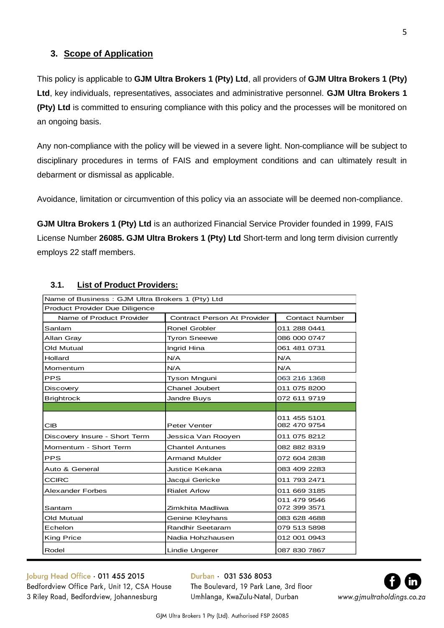# <span id="page-4-0"></span>**3. Scope of Application**

This policy is applicable to **GJM Ultra Brokers 1 (Pty) Ltd**, all providers of **GJM Ultra Brokers 1 (Pty) Ltd**, key individuals, representatives, associates and administrative personnel. **GJM Ultra Brokers 1 (Pty) Ltd** is committed to ensuring compliance with this policy and the processes will be monitored on an ongoing basis.

Any non-compliance with the policy will be viewed in a severe light. Non-compliance will be subject to disciplinary procedures in terms of FAIS and employment conditions and can ultimately result in debarment or dismissal as applicable.

Avoidance, limitation or circumvention of this policy via an associate will be deemed non-compliance.

**GJM Ultra Brokers 1 (Pty) Ltd** is an authorized Financial Service Provider founded in 1999, FAIS License Number **26085. GJM Ultra Brokers 1 (Pty) Ltd** Short-term and long term division currently employs 22 staff members.

| Name of Business: GJM Ultra Brokers 1 (Pty) Ltd                                         |                        |                              |  |  |  |  |
|-----------------------------------------------------------------------------------------|------------------------|------------------------------|--|--|--|--|
| Product Provider Due Diligence                                                          |                        |                              |  |  |  |  |
| Name of Product Provider<br><b>Contract Person At Provider</b><br><b>Contact Number</b> |                        |                              |  |  |  |  |
| Sanlam                                                                                  | <b>Ronel Grobler</b>   | 011 288 0441                 |  |  |  |  |
| Allan Gray                                                                              | <b>Tyron Sneewe</b>    | 086 000 0747                 |  |  |  |  |
| Old Mutual                                                                              | Ingrid Hina            | 061 481 0731                 |  |  |  |  |
| Hollard                                                                                 | N/A                    | N/A                          |  |  |  |  |
| Momentum                                                                                | N/A                    | N/A                          |  |  |  |  |
| <b>PPS</b>                                                                              | Tyson Mnguni           | 063 216 1368                 |  |  |  |  |
| Discovery                                                                               | <b>Chanel Joubert</b>  | 011 075 8200                 |  |  |  |  |
| <b>Brightrock</b>                                                                       | Jandre Buys            | 072 611 9719                 |  |  |  |  |
|                                                                                         |                        |                              |  |  |  |  |
| <b>CIB</b>                                                                              | <b>Peter Venter</b>    | 011 455 5101<br>082 470 9754 |  |  |  |  |
| Discovery Insure - Short Term                                                           | Jessica Van Rooyen     | 011 075 8212                 |  |  |  |  |
| Momentum - Short Term                                                                   | <b>Chantel Antunes</b> | 082 882 8319                 |  |  |  |  |
| <b>PPS</b>                                                                              | <b>Armand Mulder</b>   | 072 604 2838                 |  |  |  |  |
| Auto & General                                                                          | Justice Kekana         | 083 409 2283                 |  |  |  |  |
| <b>CCIRC</b>                                                                            | Jacqui Gericke         | 011 793 2471                 |  |  |  |  |
| Alexander Forbes                                                                        | <b>Rialet Arlow</b>    | 011 669 3185                 |  |  |  |  |
| Santam                                                                                  | Zimkhita Madliwa       | 011 479 9546<br>072 399 3571 |  |  |  |  |
| Old Mutual                                                                              | Genine Kleyhans        | 083 628 4688                 |  |  |  |  |
| Echelon                                                                                 | Randhir Seetaram       | 079 513 5898                 |  |  |  |  |
| <b>King Price</b>                                                                       | Nadia Hohzhausen       | 012 001 0943                 |  |  |  |  |
| Rodel<br>Lindie Ungerer<br>087 830 7867                                                 |                        |                              |  |  |  |  |

# <span id="page-4-1"></span>**3.1. List of Product Providers:**

Joburg Head Office . 011 455 2015 Bedfordview Office Park, Unit 12, CSA House 3 Riley Road, Bedfordview, Johannesburg

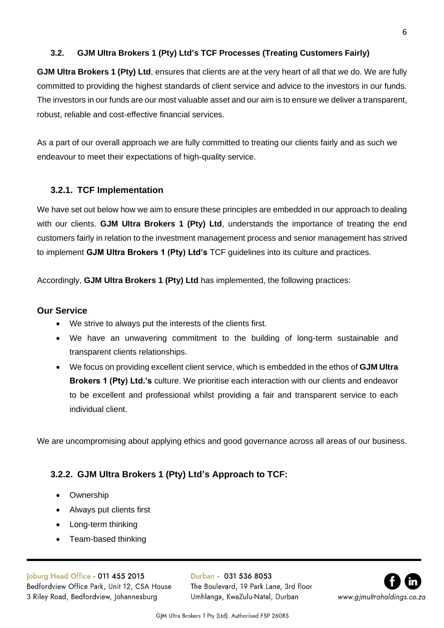## <span id="page-5-0"></span>**3.2. GJM Ultra Brokers 1 (Pty) Ltd's TCF Processes (Treating Customers Fairly)**

**GJM Ultra Brokers 1 (Pty) Ltd**, ensures that clients are at the very heart of all that we do. We are fully committed to providing the highest standards of client service and advice to the investors in our funds. The investors in our funds are our most valuable asset and our aim is to ensure we deliver a transparent, robust, reliable and cost-effective financial services.

As a part of our overall approach we are fully committed to treating our clients fairly and as such we endeavour to meet their expectations of high-quality service.

# <span id="page-5-1"></span>**3.2.1. TCF Implementation**

We have set out below how we aim to ensure these principles are embedded in our approach to dealing with our clients. **GJM Ultra Brokers 1 (Pty) Ltd**, understands the importance of treating the end customers fairly in relation to the investment management process and senior management has strived to implement **GJM Ultra Brokers 1 (Pty) Ltd's** TCF guidelines into its culture and practices.

Accordingly, **GJM Ultra Brokers 1 (Pty) Ltd** has implemented, the following practices:

## <span id="page-5-2"></span>**Our Service**

- We strive to always put the interests of the clients first.
- We have an unwavering commitment to the building of long-term sustainable and transparent clients relationships.
- We focus on providing excellent client service, which is embedded in the ethos of **GJM Ultra Brokers 1 (Pty) Ltd.'s** culture. We prioritise each interaction with our clients and endeavor to be excellent and professional whilst providing a fair and transparent service to each individual client.

We are uncompromising about applying ethics and good governance across all areas of our business.

# <span id="page-5-3"></span>**3.2.2. GJM Ultra Brokers 1 (Pty) Ltd's Approach to TCF:**

- Ownership
- Always put clients first
- Long-term thinking
- Team-based thinking

Joburg Head Office . 011 455 2015 Bedfordview Office Park, Unit 12, CSA House 3 Riley Road, Bedfordview, Johannesburg

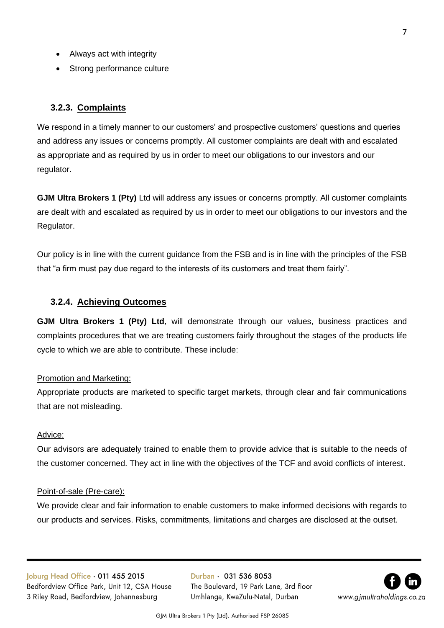- Always act with integrity
- Strong performance culture

## <span id="page-6-0"></span>**3.2.3. Complaints**

We respond in a timely manner to our customers' and prospective customers' questions and queries and address any issues or concerns promptly. All customer complaints are dealt with and escalated as appropriate and as required by us in order to meet our obligations to our investors and our regulator.

**GJM Ultra Brokers 1 (Pty)** Ltd will address any issues or concerns promptly. All customer complaints are dealt with and escalated as required by us in order to meet our obligations to our investors and the Regulator.

Our policy is in line with the current guidance from the FSB and is in line with the principles of the FSB that "a firm must pay due regard to the interests of its customers and treat them fairly".

## <span id="page-6-1"></span>**3.2.4. Achieving Outcomes**

**GJM Ultra Brokers 1 (Pty) Ltd**, will demonstrate through our values, business practices and complaints procedures that we are treating customers fairly throughout the stages of the products life cycle to which we are able to contribute. These include:

### Promotion and Marketing:

Appropriate products are marketed to specific target markets, through clear and fair communications that are not misleading.

#### Advice:

Our advisors are adequately trained to enable them to provide advice that is suitable to the needs of the customer concerned. They act in line with the objectives of the TCF and avoid conflicts of interest.

#### Point-of-sale (Pre-care):

We provide clear and fair information to enable customers to make informed decisions with regards to our products and services. Risks, commitments, limitations and charges are disclosed at the outset.

Joburg Head Office . 011 455 2015 Bedfordview Office Park, Unit 12, CSA House 3 Riley Road, Bedfordview, Johannesburg

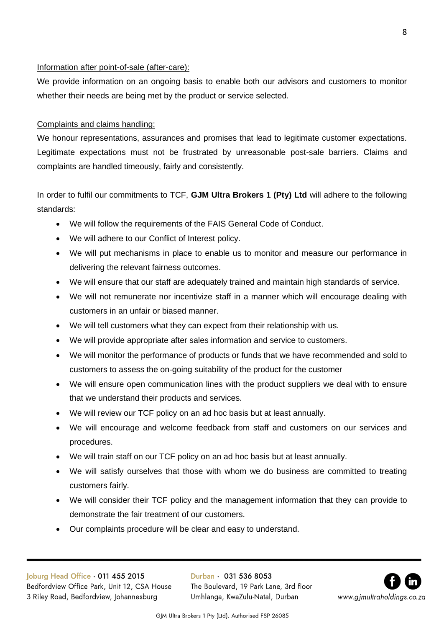## Information after point-of-sale (after-care):

We provide information on an ongoing basis to enable both our advisors and customers to monitor whether their needs are being met by the product or service selected.

## Complaints and claims handling:

We honour representations, assurances and promises that lead to legitimate customer expectations. Legitimate expectations must not be frustrated by unreasonable post-sale barriers. Claims and complaints are handled timeously, fairly and consistently.

In order to fulfil our commitments to TCF, **GJM Ultra Brokers 1 (Pty) Ltd** will adhere to the following standards:

- We will follow the requirements of the FAIS General Code of Conduct.
- We will adhere to our Conflict of Interest policy.
- We will put mechanisms in place to enable us to monitor and measure our performance in delivering the relevant fairness outcomes.
- We will ensure that our staff are adequately trained and maintain high standards of service.
- We will not remunerate nor incentivize staff in a manner which will encourage dealing with customers in an unfair or biased manner.
- We will tell customers what they can expect from their relationship with us.
- We will provide appropriate after sales information and service to customers.
- We will monitor the performance of products or funds that we have recommended and sold to customers to assess the on-going suitability of the product for the customer
- We will ensure open communication lines with the product suppliers we deal with to ensure that we understand their products and services.
- We will review our TCF policy on an ad hoc basis but at least annually.
- We will encourage and welcome feedback from staff and customers on our services and procedures.
- We will train staff on our TCF policy on an ad hoc basis but at least annually.
- We will satisfy ourselves that those with whom we do business are committed to treating customers fairly.
- We will consider their TCF policy and the management information that they can provide to demonstrate the fair treatment of our customers.
- Our complaints procedure will be clear and easy to understand.

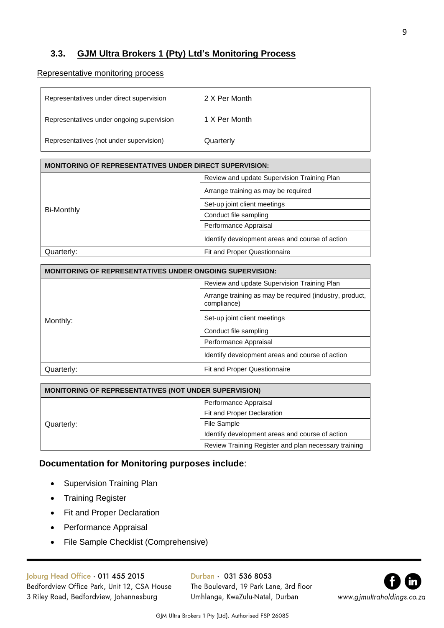# <span id="page-8-0"></span>**3.3. GJM Ultra Brokers 1 (Pty) Ltd's Monitoring Process**

### Representative monitoring process

| Representatives under direct supervision  | 2 X Per Month |
|-------------------------------------------|---------------|
| Representatives under ongoing supervision | 1 X Per Month |
| Representatives (not under supervision)   | Quarterly     |

| <b>MONITORING OF REPRESENTATIVES UNDER DIRECT SUPERVISION:</b> |  |  |  |  |
|----------------------------------------------------------------|--|--|--|--|
| Review and update Supervision Training Plan                    |  |  |  |  |
| Arrange training as may be required                            |  |  |  |  |
| Set-up joint client meetings                                   |  |  |  |  |
| Conduct file sampling                                          |  |  |  |  |
| Performance Appraisal                                          |  |  |  |  |
| Identify development areas and course of action                |  |  |  |  |
| Fit and Proper Questionnaire                                   |  |  |  |  |
|                                                                |  |  |  |  |

| <b>MONITORING OF REPRESENTATIVES UNDER ONGOING SUPERVISION:</b> |                                                                        |  |  |  |
|-----------------------------------------------------------------|------------------------------------------------------------------------|--|--|--|
|                                                                 | Review and update Supervision Training Plan                            |  |  |  |
|                                                                 | Arrange training as may be required (industry, product,<br>compliance) |  |  |  |
| Monthly:                                                        | Set-up joint client meetings                                           |  |  |  |
|                                                                 | Conduct file sampling                                                  |  |  |  |
|                                                                 | Performance Appraisal                                                  |  |  |  |
|                                                                 | Identify development areas and course of action                        |  |  |  |
| Quarterly:                                                      | <b>Fit and Proper Questionnaire</b>                                    |  |  |  |

| <b>MONITORING OF REPRESENTATIVES (NOT UNDER SUPERVISION)</b> |                                                      |  |  |  |
|--------------------------------------------------------------|------------------------------------------------------|--|--|--|
|                                                              | Performance Appraisal                                |  |  |  |
|                                                              | Fit and Proper Declaration                           |  |  |  |
| Quarterly:                                                   | File Sample                                          |  |  |  |
|                                                              | Identify development areas and course of action      |  |  |  |
|                                                              | Review Training Register and plan necessary training |  |  |  |

## **Documentation for Monitoring purposes include**:

- Supervision Training Plan
- Training Register
- **Fit and Proper Declaration**
- Performance Appraisal
- File Sample Checklist (Comprehensive)

# Joburg Head Office . 011 455 2015

Bedfordview Office Park, Unit 12, CSA House 3 Riley Road, Bedfordview, Johannesburg

Durban · 031 536 8053 The Boulevard, 19 Park Lane, 3rd floor Umhlanga, KwaZulu-Natal, Durban



GJM Ultra Brokers 1 Pty (Ltd). Authorised FSP 26085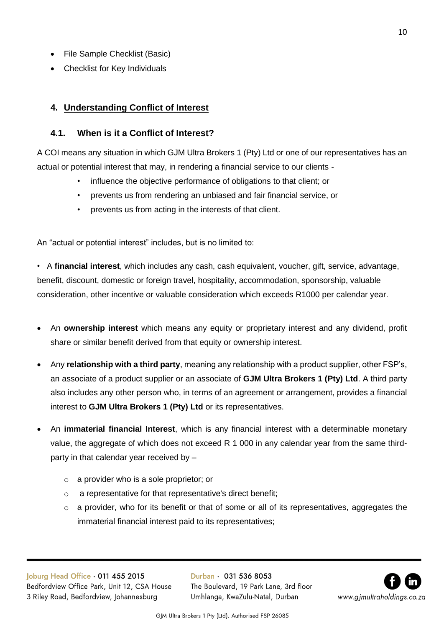- File Sample Checklist (Basic)
- Checklist for Key Individuals

# <span id="page-9-0"></span>**4. Understanding Conflict of Interest**

## <span id="page-9-1"></span>**4.1. When is it a Conflict of Interest?**

A COI means any situation in which GJM Ultra Brokers 1 (Pty) Ltd or one of our representatives has an actual or potential interest that may, in rendering a financial service to our clients -

- influence the objective performance of obligations to that client; or
- prevents us from rendering an unbiased and fair financial service, or
- prevents us from acting in the interests of that client.

An "actual or potential interest" includes, but is no limited to:

• A **financial interest**, which includes any cash, cash equivalent, voucher, gift, service, advantage, benefit, discount, domestic or foreign travel, hospitality, accommodation, sponsorship, valuable consideration, other incentive or valuable consideration which exceeds R1000 per calendar year.

- An **ownership interest** which means any equity or proprietary interest and any dividend, profit share or similar benefit derived from that equity or ownership interest.
- Any **relationship with a third party**, meaning any relationship with a product supplier, other FSP's, an associate of a product supplier or an associate of **GJM Ultra Brokers 1 (Pty) Ltd**. A third party also includes any other person who, in terms of an agreement or arrangement, provides a financial interest to **GJM Ultra Brokers 1 (Pty) Ltd** or its representatives.
- An **immaterial financial Interest**, which is any financial interest with a determinable monetary value, the aggregate of which does not exceed R 1 000 in any calendar year from the same thirdparty in that calendar year received by –
	- o a provider who is a sole proprietor; or
	- o a representative for that representative's direct benefit;
	- o a provider, who for its benefit or that of some or all of its representatives, aggregates the immaterial financial interest paid to its representatives;

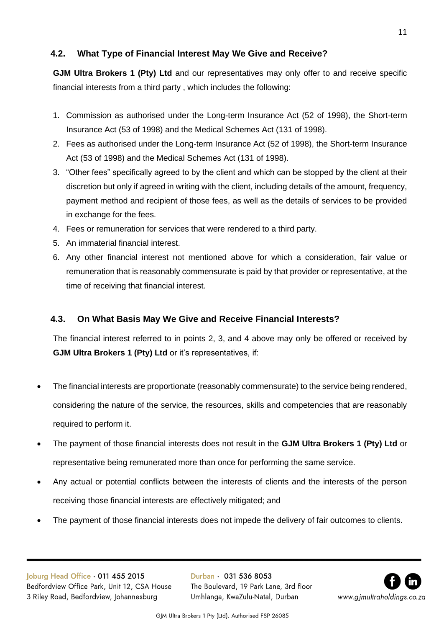# <span id="page-10-0"></span>**4.2. What Type of Financial Interest May We Give and Receive?**

**GJM Ultra Brokers 1 (Pty) Ltd** and our representatives may only offer to and receive specific financial interests from a third party , which includes the following:

- 1. Commission as authorised under the Long-term Insurance Act (52 of 1998), the Short-term Insurance Act (53 of 1998) and the Medical Schemes Act (131 of 1998).
- 2. Fees as authorised under the Long-term Insurance Act (52 of 1998), the Short-term Insurance Act (53 of 1998) and the Medical Schemes Act (131 of 1998).
- 3. "Other fees" specifically agreed to by the client and which can be stopped by the client at their discretion but only if agreed in writing with the client, including details of the amount, frequency, payment method and recipient of those fees, as well as the details of services to be provided in exchange for the fees.
- 4. Fees or remuneration for services that were rendered to a third party.
- 5. An immaterial financial interest.
- 6. Any other financial interest not mentioned above for which a consideration, fair value or remuneration that is reasonably commensurate is paid by that provider or representative, at the time of receiving that financial interest.

# <span id="page-10-1"></span>**4.3. On What Basis May We Give and Receive Financial Interests?**

The financial interest referred to in points 2, 3, and 4 above may only be offered or received by **GJM Ultra Brokers 1 (Pty) Ltd** or it's representatives, if:

- The financial interests are proportionate (reasonably commensurate) to the service being rendered, considering the nature of the service, the resources, skills and competencies that are reasonably required to perform it.
- The payment of those financial interests does not result in the **GJM Ultra Brokers 1 (Pty) Ltd** or representative being remunerated more than once for performing the same service.
- Any actual or potential conflicts between the interests of clients and the interests of the person receiving those financial interests are effectively mitigated; and
- The payment of those financial interests does not impede the delivery of fair outcomes to clients.

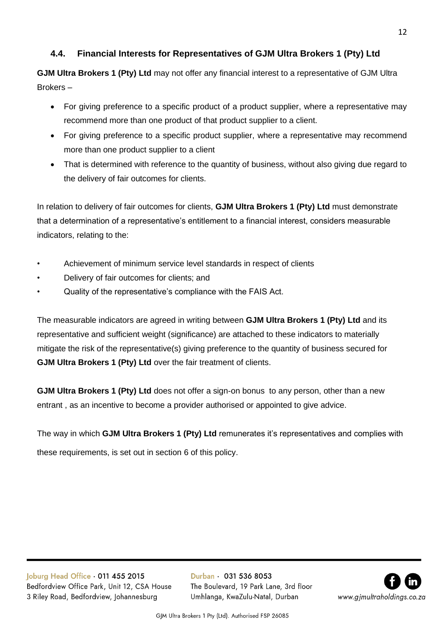# <span id="page-11-0"></span>**4.4. Financial Interests for Representatives of GJM Ultra Brokers 1 (Pty) Ltd**

**GJM Ultra Brokers 1 (Pty) Ltd** may not offer any financial interest to a representative of GJM Ultra Brokers –

- For giving preference to a specific product of a product supplier, where a representative may recommend more than one product of that product supplier to a client.
- For giving preference to a specific product supplier, where a representative may recommend more than one product supplier to a client
- That is determined with reference to the quantity of business, without also giving due regard to the delivery of fair outcomes for clients.

In relation to delivery of fair outcomes for clients, **GJM Ultra Brokers 1 (Pty) Ltd** must demonstrate that a determination of a representative's entitlement to a financial interest, considers measurable indicators, relating to the:

- Achievement of minimum service level standards in respect of clients
- Delivery of fair outcomes for clients; and
- Quality of the representative's compliance with the FAIS Act.

The measurable indicators are agreed in writing between **GJM Ultra Brokers 1 (Pty) Ltd** and its representative and sufficient weight (significance) are attached to these indicators to materially mitigate the risk of the representative(s) giving preference to the quantity of business secured for **GJM Ultra Brokers 1 (Pty) Ltd** over the fair treatment of clients.

**GJM Ultra Brokers 1 (Pty) Ltd** does not offer a sign-on bonus to any person, other than a new entrant , as an incentive to become a provider authorised or appointed to give advice.

The way in which **GJM Ultra Brokers 1 (Pty) Ltd** remunerates it's representatives and complies with

these requirements, is set out in section 6 of this policy.

Joburg Head Office . 011 455 2015 Bedfordview Office Park, Unit 12, CSA House 3 Riley Road, Bedfordview, Johannesburg

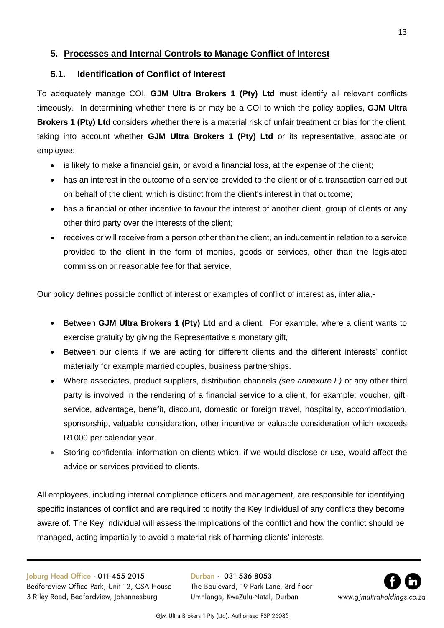# <span id="page-12-0"></span>**5. Processes and Internal Controls to Manage Conflict of Interest**

# <span id="page-12-1"></span>**5.1. Identification of Conflict of Interest**

To adequately manage COI, **GJM Ultra Brokers 1 (Pty) Ltd** must identify all relevant conflicts timeously. In determining whether there is or may be a COI to which the policy applies, **GJM Ultra Brokers 1 (Pty) Ltd** considers whether there is a material risk of unfair treatment or bias for the client, taking into account whether **GJM Ultra Brokers 1 (Pty) Ltd** or its representative, associate or employee:

- is likely to make a financial gain, or avoid a financial loss, at the expense of the client;
- has an interest in the outcome of a service provided to the client or of a transaction carried out on behalf of the client, which is distinct from the client's interest in that outcome;
- has a financial or other incentive to favour the interest of another client, group of clients or any other third party over the interests of the client;
- receives or will receive from a person other than the client, an inducement in relation to a service provided to the client in the form of monies, goods or services, other than the legislated commission or reasonable fee for that service.

Our policy defines possible conflict of interest or examples of conflict of interest as, inter alia,-

- Between **GJM Ultra Brokers 1 (Pty) Ltd** and a client. For example, where a client wants to exercise gratuity by giving the Representative a monetary gift,
- Between our clients if we are acting for different clients and the different interests' conflict materially for example married couples, business partnerships.
- Where associates, product suppliers, distribution channels *(see annexure F)* or any other third party is involved in the rendering of a financial service to a client, for example: voucher, gift, service, advantage, benefit, discount, domestic or foreign travel, hospitality, accommodation, sponsorship, valuable consideration, other incentive or valuable consideration which exceeds R1000 per calendar year.
- Storing confidential information on clients which, if we would disclose or use, would affect the advice or services provided to clients*.*

All employees, including internal compliance officers and management, are responsible for identifying specific instances of conflict and are required to notify the Key Individual of any conflicts they become aware of. The Key Individual will assess the implications of the conflict and how the conflict should be managed, acting impartially to avoid a material risk of harming clients' interests.

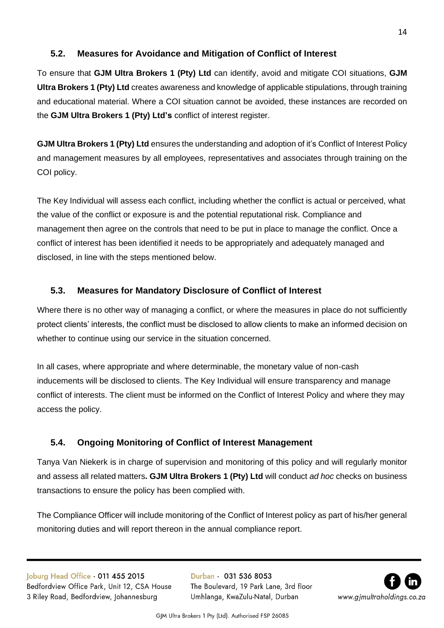# <span id="page-13-0"></span>**5.2. Measures for Avoidance and Mitigation of Conflict of Interest**

To ensure that **GJM Ultra Brokers 1 (Pty) Ltd** can identify, avoid and mitigate COI situations, **GJM Ultra Brokers 1 (Pty) Ltd** creates awareness and knowledge of applicable stipulations, through training and educational material. Where a COI situation cannot be avoided, these instances are recorded on the **GJM Ultra Brokers 1 (Pty) Ltd's** conflict of interest register.

**GJM Ultra Brokers 1 (Pty) Ltd** ensures the understanding and adoption of it's Conflict of Interest Policy and management measures by all employees, representatives and associates through training on the COI policy.

The Key Individual will assess each conflict, including whether the conflict is actual or perceived, what the value of the conflict or exposure is and the potential reputational risk. Compliance and management then agree on the controls that need to be put in place to manage the conflict. Once a conflict of interest has been identified it needs to be appropriately and adequately managed and disclosed, in line with the steps mentioned below.

# <span id="page-13-1"></span>**5.3. Measures for Mandatory Disclosure of Conflict of Interest**

Where there is no other way of managing a conflict, or where the measures in place do not sufficiently protect clients' interests, the conflict must be disclosed to allow clients to make an informed decision on whether to continue using our service in the situation concerned.

In all cases, where appropriate and where determinable, the monetary value of non-cash inducements will be disclosed to clients. The Key Individual will ensure transparency and manage conflict of interests. The client must be informed on the Conflict of Interest Policy and where they may access the policy.

# <span id="page-13-2"></span>**5.4. Ongoing Monitoring of Conflict of Interest Management**

Tanya Van Niekerk is in charge of supervision and monitoring of this policy and will regularly monitor and assess all related matters**. GJM Ultra Brokers 1 (Pty) Ltd** will conduct *ad hoc* checks on business transactions to ensure the policy has been complied with.

The Compliance Officer will include monitoring of the Conflict of Interest policy as part of his/her general monitoring duties and will report thereon in the annual compliance report.

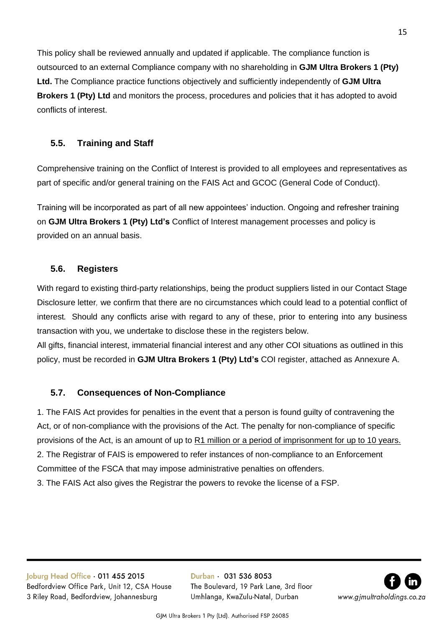This policy shall be reviewed annually and updated if applicable. The compliance function is outsourced to an external Compliance company with no shareholding in **GJM Ultra Brokers 1 (Pty) Ltd.** The Compliance practice functions objectively and sufficiently independently of **GJM Ultra Brokers 1 (Pty) Ltd** and monitors the process, procedures and policies that it has adopted to avoid conflicts of interest.

# <span id="page-14-0"></span>**5.5. Training and Staff**

Comprehensive training on the Conflict of Interest is provided to all employees and representatives as part of specific and/or general training on the FAIS Act and GCOC (General Code of Conduct).

Training will be incorporated as part of all new appointees' induction. Ongoing and refresher training on **GJM Ultra Brokers 1 (Pty) Ltd's** Conflict of Interest management processes and policy is provided on an annual basis.

# <span id="page-14-1"></span>**5.6. Registers**

With regard to existing third-party relationships, being the product suppliers listed in our Contact Stage Disclosure letter*,* we confirm that there are no circumstances which could lead to a potential conflict of interest*.* Should any conflicts arise with regard to any of these, prior to entering into any business transaction with you, we undertake to disclose these in the registers below.

All gifts, financial interest, immaterial financial interest and any other COI situations as outlined in this policy, must be recorded in **GJM Ultra Brokers 1 (Pty) Ltd's** COI register, attached as Annexure A.

# <span id="page-14-2"></span>**5.7. Consequences of Non-Compliance**

1. The FAIS Act provides for penalties in the event that a person is found guilty of contravening the Act, or of non-compliance with the provisions of the Act. The penalty for non-compliance of specific provisions of the Act, is an amount of up to R1 million or a period of imprisonment for up to 10 years. 2. The Registrar of FAIS is empowered to refer instances of non-compliance to an Enforcement Committee of the FSCA that may impose administrative penalties on offenders. 3. The FAIS Act also gives the Registrar the powers to revoke the license of a FSP.

Joburg Head Office · 011 455 2015 Bedfordview Office Park, Unit 12, CSA House 3 Riley Road, Bedfordview, Johannesburg

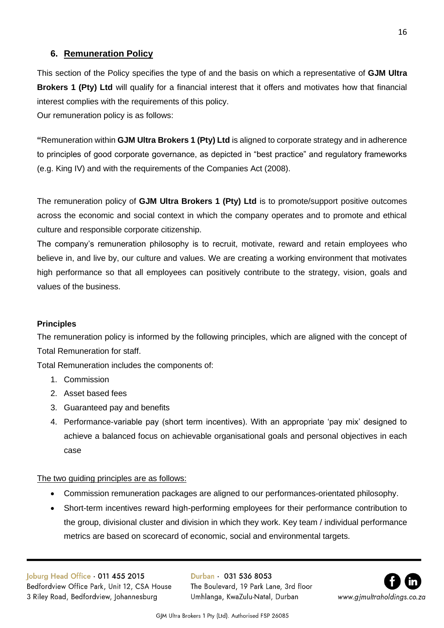# <span id="page-15-0"></span>**6. Remuneration Policy**

This section of the Policy specifies the type of and the basis on which a representative of **GJM Ultra Brokers 1 (Pty) Ltd** will qualify for a financial interest that it offers and motivates how that financial interest complies with the requirements of this policy.

Our remuneration policy is as follows:

**"**Remuneration within **GJM Ultra Brokers 1 (Pty) Ltd** is aligned to corporate strategy and in adherence to principles of good corporate governance, as depicted in "best practice" and regulatory frameworks (e.g. King IV) and with the requirements of the Companies Act (2008).

The remuneration policy of **GJM Ultra Brokers 1 (Pty) Ltd** is to promote/support positive outcomes across the economic and social context in which the company operates and to promote and ethical culture and responsible corporate citizenship.

The company's remuneration philosophy is to recruit, motivate, reward and retain employees who believe in, and live by, our culture and values. We are creating a working environment that motivates high performance so that all employees can positively contribute to the strategy, vision, goals and values of the business.

# <span id="page-15-1"></span>**Principles**

The remuneration policy is informed by the following principles, which are aligned with the concept of Total Remuneration for staff.

Total Remuneration includes the components of:

- 1. Commission
- 2. Asset based fees
- 3. Guaranteed pay and benefits
- 4. Performance-variable pay (short term incentives). With an appropriate 'pay mix' designed to achieve a balanced focus on achievable organisational goals and personal objectives in each case

## The two guiding principles are as follows:

- Commission remuneration packages are aligned to our performances-orientated philosophy.
- Short-term incentives reward high-performing employees for their performance contribution to the group, divisional cluster and division in which they work. Key team / individual performance metrics are based on scorecard of economic, social and environmental targets.

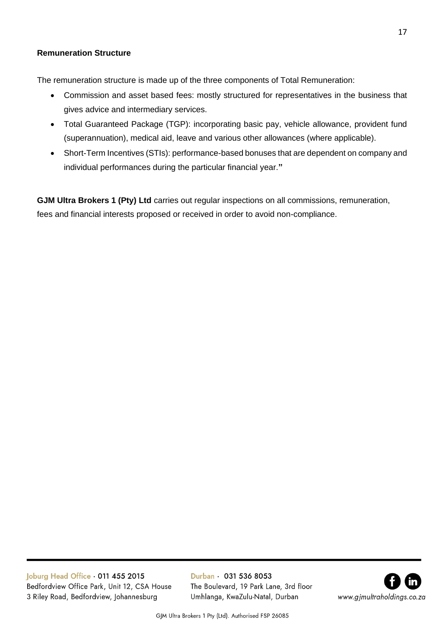## <span id="page-16-0"></span>**Remuneration Structure**

The remuneration structure is made up of the three components of Total Remuneration:

- Commission and asset based fees: mostly structured for representatives in the business that gives advice and intermediary services.
- Total Guaranteed Package (TGP): incorporating basic pay, vehicle allowance, provident fund (superannuation), medical aid, leave and various other allowances (where applicable).
- Short-Term Incentives (STIs): performance-based bonuses that are dependent on company and individual performances during the particular financial year.**"**

**GJM Ultra Brokers 1 (Pty) Ltd** carries out regular inspections on all commissions, remuneration, fees and financial interests proposed or received in order to avoid non-compliance.

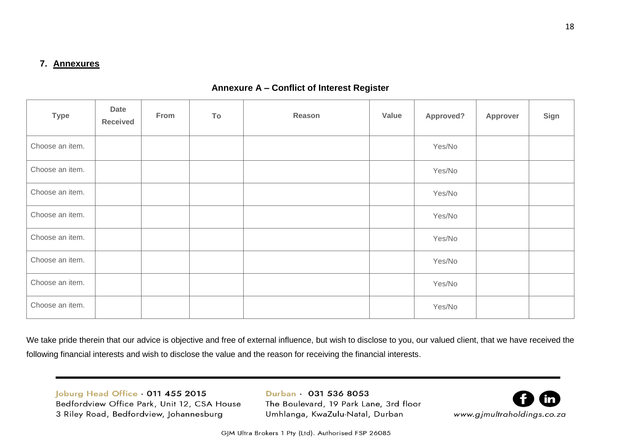## **7. Annexures**

## **Annexure A – Conflict of Interest Register**

| <b>Type</b>     | <b>Date</b><br><b>Received</b> | From | To | Reason | Value | Approved? | Approver | Sign |
|-----------------|--------------------------------|------|----|--------|-------|-----------|----------|------|
| Choose an item. |                                |      |    |        |       | Yes/No    |          |      |
| Choose an item. |                                |      |    |        |       | Yes/No    |          |      |
| Choose an item. |                                |      |    |        |       | Yes/No    |          |      |
| Choose an item. |                                |      |    |        |       | Yes/No    |          |      |
| Choose an item. |                                |      |    |        |       | Yes/No    |          |      |
| Choose an item. |                                |      |    |        |       | Yes/No    |          |      |
| Choose an item. |                                |      |    |        |       | Yes/No    |          |      |
| Choose an item. |                                |      |    |        |       | Yes/No    |          |      |

<span id="page-17-1"></span><span id="page-17-0"></span>We take pride therein that our advice is objective and free of external influence, but wish to disclose to you, our valued client, that we have received the following financial interests and wish to disclose the value and the reason for receiving the financial interests.

Joburg Head Office 011 455 2015 Bedfordview Office Park, Unit 12, CSA House 3 Riley Road, Bedfordview, Johannesburg

Durban · 031 536 8053 The Boulevard, 19 Park Lane, 3rd floor Umhlanga, KwaZulu-Natal, Durban



GJM Ultra Brokers 1 Pty (Ltd). Authorised FSP 26085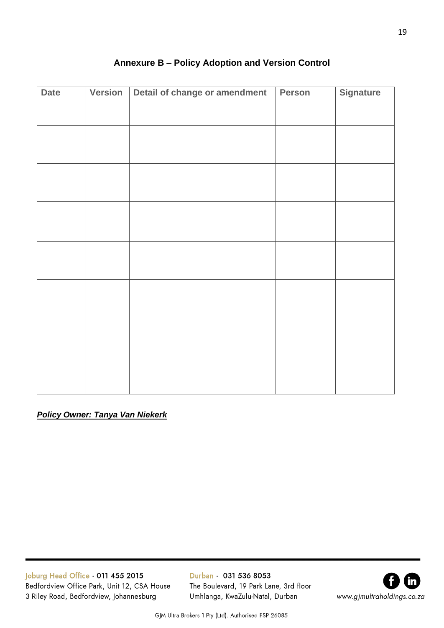<span id="page-18-0"></span>

| <b>Date</b> | Version | Detail of change or amendment | Person | <b>Signature</b> |
|-------------|---------|-------------------------------|--------|------------------|
|             |         |                               |        |                  |
|             |         |                               |        |                  |
|             |         |                               |        |                  |
|             |         |                               |        |                  |
|             |         |                               |        |                  |
|             |         |                               |        |                  |
|             |         |                               |        |                  |
|             |         |                               |        |                  |
|             |         |                               |        |                  |
|             |         |                               |        |                  |
|             |         |                               |        |                  |
|             |         |                               |        |                  |
|             |         |                               |        |                  |
|             |         |                               |        |                  |
|             |         |                               |        |                  |
|             |         |                               |        |                  |
|             |         |                               |        |                  |
|             |         |                               |        |                  |
|             |         |                               |        |                  |
|             |         |                               |        |                  |
|             |         |                               |        |                  |
|             |         |                               |        |                  |

# **Annexure B – Policy Adoption and Version Control**

*Policy Owner: Tanya Van Niekerk*

Joburg Head Office . 011 455 2015 Bedfordview Office Park, Unit 12, CSA House 3 Riley Road, Bedfordview, Johannesburg

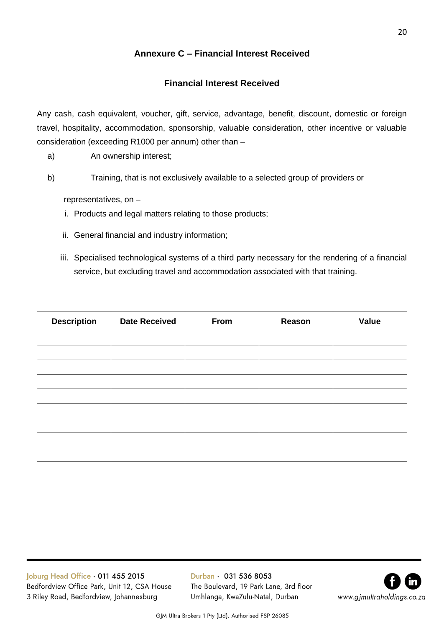# **Annexure C – Financial Interest Received**

# **Financial Interest Received**

<span id="page-19-0"></span>Any cash, cash equivalent, voucher, gift, service, advantage, benefit, discount, domestic or foreign travel, hospitality, accommodation, sponsorship, valuable consideration, other incentive or valuable consideration (exceeding R1000 per annum) other than –

- a) An ownership interest;
- b) Training, that is not exclusively available to a selected group of providers or

representatives, on –

- i. Products and legal matters relating to those products;
- ii. General financial and industry information;
- iii. Specialised technological systems of a third party necessary for the rendering of a financial service, but excluding travel and accommodation associated with that training.

| <b>Description</b> | <b>Date Received</b> | From | Reason | <b>Value</b> |
|--------------------|----------------------|------|--------|--------------|
|                    |                      |      |        |              |
|                    |                      |      |        |              |
|                    |                      |      |        |              |
|                    |                      |      |        |              |
|                    |                      |      |        |              |
|                    |                      |      |        |              |
|                    |                      |      |        |              |
|                    |                      |      |        |              |
|                    |                      |      |        |              |

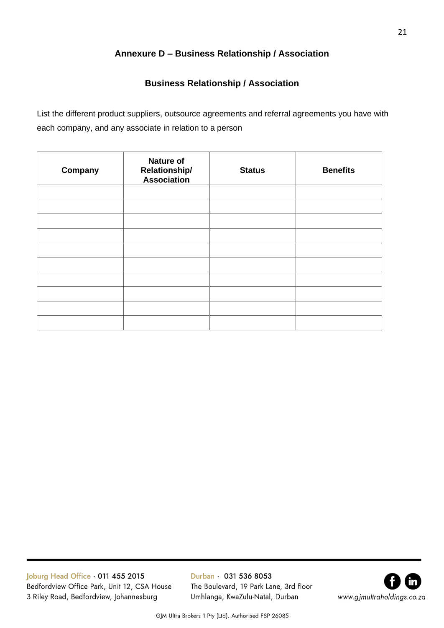# **Annexure D – Business Relationship / Association**

# **Business Relationship / Association**

<span id="page-20-0"></span>List the different product suppliers, outsource agreements and referral agreements you have with each company, and any associate in relation to a person

| Company | <b>Nature of</b><br><b>Relationship/</b><br>Association | <b>Status</b> | <b>Benefits</b> |
|---------|---------------------------------------------------------|---------------|-----------------|
|         |                                                         |               |                 |
|         |                                                         |               |                 |
|         |                                                         |               |                 |
|         |                                                         |               |                 |
|         |                                                         |               |                 |
|         |                                                         |               |                 |
|         |                                                         |               |                 |
|         |                                                         |               |                 |
|         |                                                         |               |                 |
|         |                                                         |               |                 |
|         |                                                         |               |                 |

Joburg Head Office . 011 455 2015 Bedfordview Office Park, Unit 12, CSA House 3 Riley Road, Bedfordview, Johannesburg

Durban · 031 536 8053 The Boulevard, 19 Park Lane, 3rd floor Umhlanga, KwaZulu-Natal, Durban



GJM Ultra Brokers 1 Pty (Ltd). Authorised FSP 26085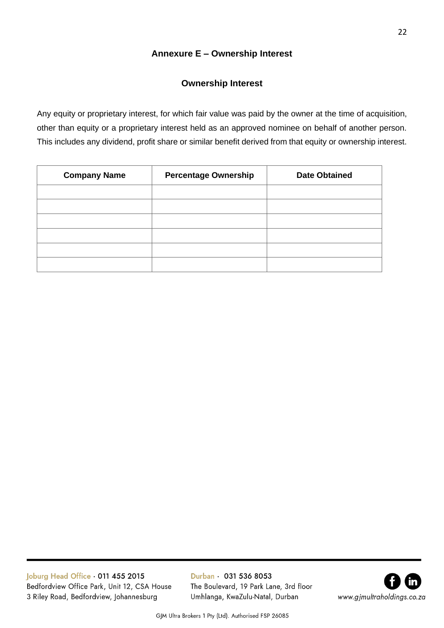# **Annexure E – Ownership Interest**

## **Ownership Interest**

<span id="page-21-0"></span>Any equity or proprietary interest, for which fair value was paid by the owner at the time of acquisition, other than equity or a proprietary interest held as an approved nominee on behalf of another person. This includes any dividend, profit share or similar benefit derived from that equity or ownership interest.

| <b>Company Name</b> | <b>Percentage Ownership</b> | <b>Date Obtained</b> |
|---------------------|-----------------------------|----------------------|
|                     |                             |                      |
|                     |                             |                      |
|                     |                             |                      |
|                     |                             |                      |
|                     |                             |                      |
|                     |                             |                      |

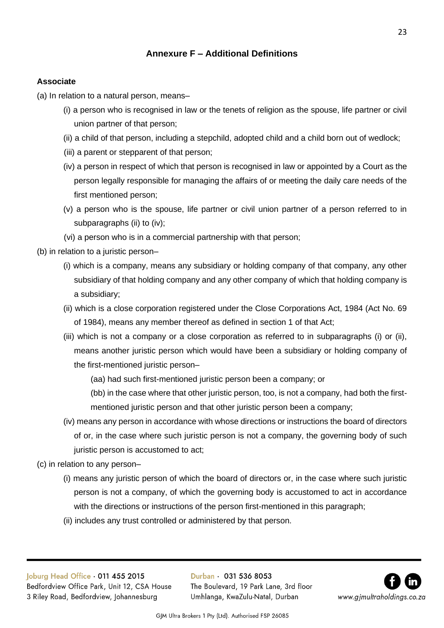# **Annexure F – Additional Definitions**

## <span id="page-22-0"></span>**Associate**

(a) In relation to a natural person, means–

- (i) a person who is recognised in law or the tenets of religion as the spouse, life partner or civil union partner of that person;
- (ii) a child of that person, including a stepchild, adopted child and a child born out of wedlock;
- (iii) a parent or stepparent of that person;
- (iv) a person in respect of which that person is recognised in law or appointed by a Court as the person legally responsible for managing the affairs of or meeting the daily care needs of the first mentioned person;
- (v) a person who is the spouse, life partner or civil union partner of a person referred to in subparagraphs (ii) to (iv);
- (vi) a person who is in a commercial partnership with that person;
- (b) in relation to a juristic person–
	- (i) which is a company, means any subsidiary or holding company of that company, any other subsidiary of that holding company and any other company of which that holding company is a subsidiary;
	- (ii) which is a close corporation registered under the Close Corporations Act, 1984 (Act No. 69 of 1984), means any member thereof as defined in section 1 of that Act;
	- (iii) which is not a company or a close corporation as referred to in subparagraphs (i) or (ii), means another juristic person which would have been a subsidiary or holding company of the first-mentioned juristic person–

(aa) had such first-mentioned juristic person been a company; or

(bb) in the case where that other juristic person, too, is not a company, had both the firstmentioned juristic person and that other juristic person been a company;

- (iv) means any person in accordance with whose directions or instructions the board of directors of or, in the case where such juristic person is not a company, the governing body of such juristic person is accustomed to act;
- (c) in relation to any person–
	- (i) means any juristic person of which the board of directors or, in the case where such juristic person is not a company, of which the governing body is accustomed to act in accordance with the directions or instructions of the person first-mentioned in this paragraph;
	- (ii) includes any trust controlled or administered by that person.

Joburg Head Office . 011 455 2015 Bedfordview Office Park, Unit 12, CSA House 3 Riley Road, Bedfordview, Johannesburg

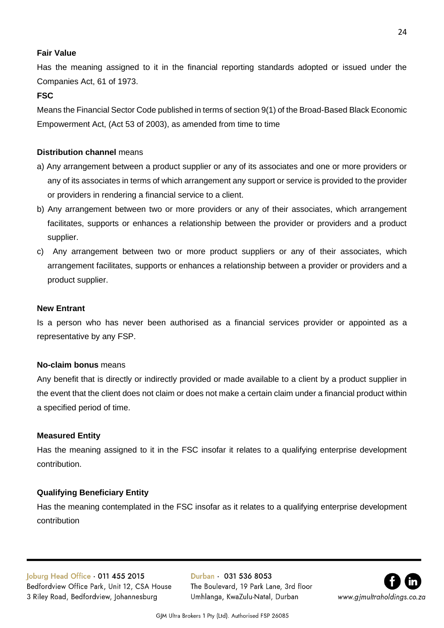## **Fair Value**

Has the meaning assigned to it in the financial reporting standards adopted or issued under the Companies Act, 61 of 1973.

## **FSC**

Means the Financial Sector Code published in terms of section 9(1) of the Broad-Based Black Economic Empowerment Act, (Act 53 of 2003), as amended from time to time

## **Distribution channel** means

- a) Any arrangement between a product supplier or any of its associates and one or more providers or any of its associates in terms of which arrangement any support or service is provided to the provider or providers in rendering a financial service to a client.
- b) Any arrangement between two or more providers or any of their associates, which arrangement facilitates, supports or enhances a relationship between the provider or providers and a product supplier.
- c) Any arrangement between two or more product suppliers or any of their associates, which arrangement facilitates, supports or enhances a relationship between a provider or providers and a product supplier.

## **New Entrant**

Is a person who has never been authorised as a financial services provider or appointed as a representative by any FSP.

## **No-claim bonus** means

Any benefit that is directly or indirectly provided or made available to a client by a product supplier in the event that the client does not claim or does not make a certain claim under a financial product within a specified period of time.

## **Measured Entity**

Has the meaning assigned to it in the FSC insofar it relates to a qualifying enterprise development contribution.

# **Qualifying Beneficiary Entity**

Has the meaning contemplated in the FSC insofar as it relates to a qualifying enterprise development contribution